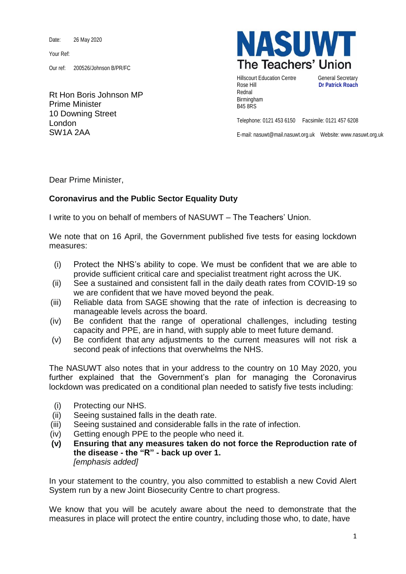Date: 26 May 2020

Your Ref:

Our ref: 200526/Johnson B/PR/FC

Rt Hon Boris Johnson MP Prime Minister 10 Downing Street London SW1A 2AA



Hillscourt Education Centre **General Secretary** Rose Hill **Dr Patrick Roach** Rednal Birmingham B45 8RS

Telephone: 0121 453 6150 Facsimile: 0121 457 6208

E-mail: nasuwt@mail.nasuwt.org.uk Website: www.nasuwt.org.uk

Dear Prime Minister,

## **Coronavirus and the Public Sector Equality Duty**

I write to you on behalf of members of NASUWT – The Teachers' Union.

We note that on 16 April, the Government published five tests for easing lockdown measures:

- (i) Protect the NHS's ability to cope. We must be confident that we are able to provide sufficient critical care and specialist treatment right across the UK.
- (ii) See a sustained and consistent fall in the daily death rates from COVID-19 so we are confident that we have moved beyond the peak.
- (iii) Reliable data from SAGE showing that the rate of infection is decreasing to manageable levels across the board.
- (iv) Be confident that the range of operational challenges, including testing capacity and PPE, are in hand, with supply able to meet future demand.
- (v) Be confident that any adjustments to the current measures will not risk a second peak of infections that overwhelms the NHS.

The NASUWT also notes that in your address to the country on 10 May 2020, you further explained that the Government's plan for managing the Coronavirus lockdown was predicated on a conditional plan needed to satisfy five tests including:

- (i) Protecting our NHS.
- (ii) Seeing sustained falls in the death rate.
- (iii) Seeing sustained and considerable falls in the rate of infection.
- (iv) Getting enough PPE to the people who need it.
- **(v) Ensuring that any measures taken do not force the Reproduction rate of the disease - the "R" - back up over 1.** *[emphasis added]*

In your statement to the country, you also committed to establish a new Covid Alert System run by a new Joint Biosecurity Centre to chart progress.

We know that you will be acutely aware about the need to demonstrate that the measures in place will protect the entire country, including those who, to date, have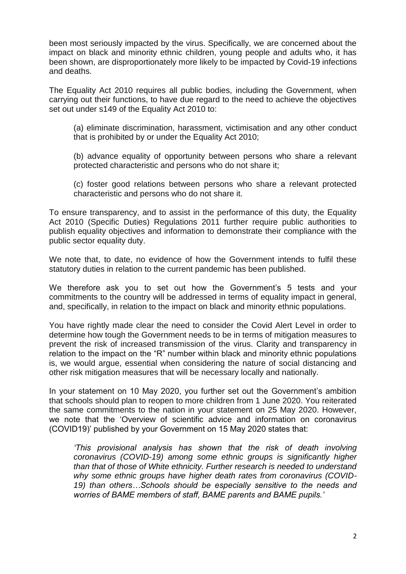been most seriously impacted by the virus. Specifically, we are concerned about the impact on black and minority ethnic children, young people and adults who, it has been shown, are disproportionately more likely to be impacted by Covid-19 infections and deaths.

The Equality Act 2010 requires all public bodies, including the Government, when carrying out their functions, to have due regard to the need to achieve the objectives set out under s149 of the Equality Act 2010 to:

(a) eliminate discrimination, harassment, victimisation and any other conduct that is prohibited by or under the Equality Act 2010;

(b) advance equality of opportunity between persons who share a relevant protected characteristic and persons who do not share it;

(c) foster good relations between persons who share a relevant protected characteristic and persons who do not share it.

To ensure transparency, and to assist in the performance of this duty, the Equality Act 2010 (Specific Duties) Regulations 2011 further require public authorities to publish equality objectives and information to demonstrate their compliance with the public sector equality duty.

We note that, to date, no evidence of how the Government intends to fulfil these statutory duties in relation to the current pandemic has been published.

We therefore ask you to set out how the Government's 5 tests and your commitments to the country will be addressed in terms of equality impact in general, and, specifically, in relation to the impact on black and minority ethnic populations.

You have rightly made clear the need to consider the Covid Alert Level in order to determine how tough the Government needs to be in terms of mitigation measures to prevent the risk of increased transmission of the virus. Clarity and transparency in relation to the impact on the "R" number within black and minority ethnic populations is, we would argue, essential when considering the nature of social distancing and other risk mitigation measures that will be necessary locally and nationally.

In your statement on 10 May 2020, you further set out the Government's ambition that schools should plan to reopen to more children from 1 June 2020. You reiterated the same commitments to the nation in your statement on 25 May 2020. However, we note that the 'Overview of scientific advice and information on coronavirus (COVID19)' published by your Government on 15 May 2020 states that:

*'This provisional analysis has shown that the risk of death involving coronavirus (COVID-19) among some ethnic groups is significantly higher than that of those of White ethnicity. Further research is needed to understand why some ethnic groups have higher death rates from coronavirus (COVID-19) than others…Schools should be especially sensitive to the needs and worries of BAME members of staff, BAME parents and BAME pupils.'*